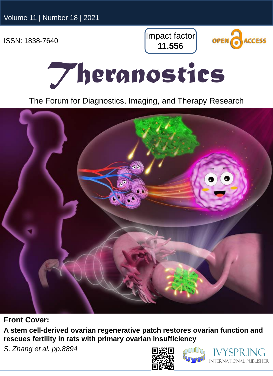Impact factor **11.556**



## *Theranostics*

The Forum for Diagnostics, Imaging, and Therapy Research



**Front Cover:** 

**A stem cell-derived ovarian regenerative patch restores ovarian function and rescues fertility in rats with primary ovarian insufficiency**

*S. Zhang et al. pp.8894*





**INTERNATIONAL PUBLISHER**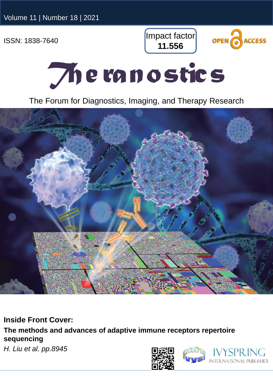Impact factor **11.556**





The Forum for Diagnostics, Imaging, and Therapy Research

**Inside Front Cover:** 

**The methods and advances of adaptive immune receptors repertoire sequencing**

*H. Liu et al. pp.8945*





PUBLISHER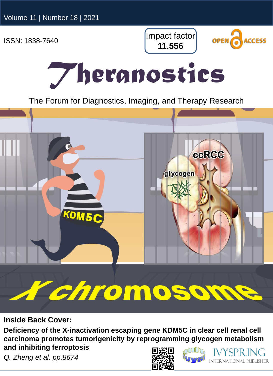Impact factor **11.556**



## *Theranostics*

The Forum for Diagnostics, Imaging, and Therapy Research



## r chromosor

**Inside Back Cover:** 

**Deficiency of the X-inactivation escaping gene KDM5C in clear cell renal cell carcinoma promotes tumorigenicity by reprogramming glycogen metabolism and inhibiting ferroptosis**

*Q. Zheng et al. pp.8674*





**INTERNATIONAL PUBLISHER**